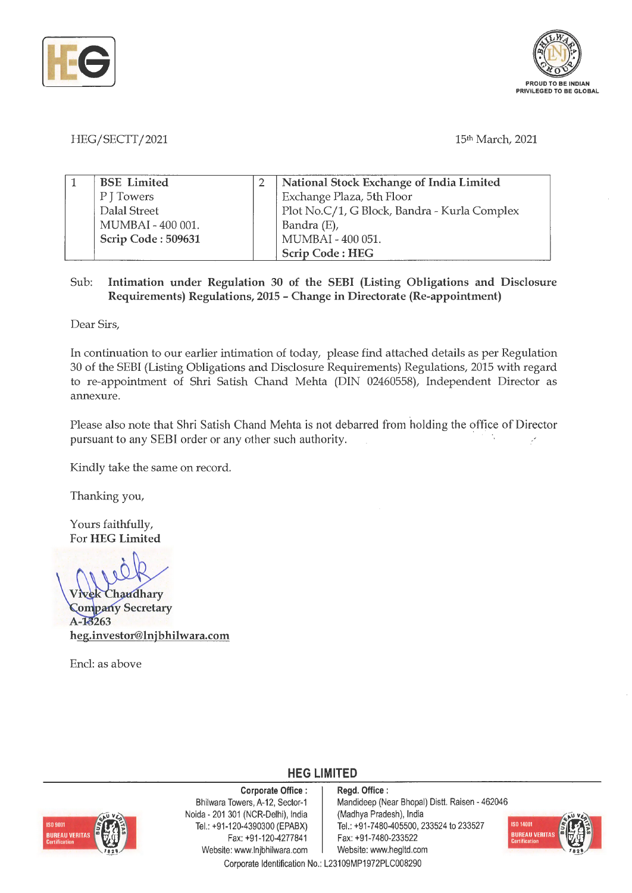



## HEG/SECTT/2021 15th March, 2021

| <b>BSE</b> Limited | <b>National Stock Exchange of India Limited</b> |
|--------------------|-------------------------------------------------|
| P J Towers         | Exchange Plaza, 5th Floor                       |
| Dalal Street       | Plot No.C/1, G Block, Bandra - Kurla Complex    |
| MUMBAI - 400 001.  | Bandra (E),                                     |
| Scrip Code: 509631 | MUMBAI - 400 051.                               |
|                    | <b>Scrip Code: HEG</b>                          |

## Sub: **Intimation under Regulation 30 of the SEBI (Listing Obligations and Disclosure Requirements) Regulations, 2015** - **Change in Directorate (Re-appointment)**

Dear Sirs,

In continuation to our earlier intimation of today, please find attached details as per Regulation 30 of the SEBI (Listing Obligations and Disclosure Requirements) Regulations, 2015 with regard to re-appointment of Shri Satish Chand Mehta (DIN 02460558), Independent Director as annexure.

Please also note that Shri Satish Chand Mehta is not debarred from holding the office of Director pursuant to any SEBI order or any other such authority.

Kindly take the same on record.

Thanking you,

Yours faithfully, For **HEG Limited** 

Chaudhary **Company Secretary** A-13263 **heg.investor@lnjbhilwara.com** 

Encl: as above



**Corporate Office** : Bhilwara Towers, A-12, Sector-1 Naida - 201 301 (NCR-Delhi), India Tel.: +91 -120-4390300 (EPABX) Fax: +91 -120-4277841 Website: www.lnjbhilwara.com | Website: www.hegltd.com

**Regd. Office** : Mandideep (Near Bhopal) Distt. Raisen - 462046 (Madhya Pradesh), India Tel.: +91-7480-405500, 233524 to 233527 Fax: +91-7480-233522



Corporate Identification No.: L23109MP1972PLC008290

**HEG LIMITED**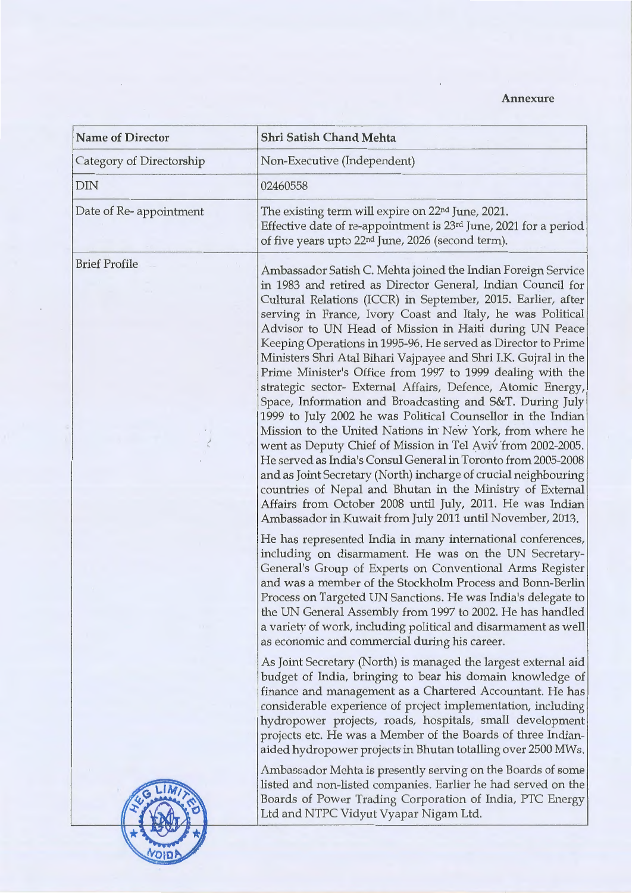## **Annexure**

| <b>Name of Director</b>  | Shri Satish Chand Mehta                                                                                                                                                                                                                                                                                                                                                                                                                                                                                                                                                                                                                                                                                                                                                                                                                                                                                                                                                                                                                                                                                                                                               |
|--------------------------|-----------------------------------------------------------------------------------------------------------------------------------------------------------------------------------------------------------------------------------------------------------------------------------------------------------------------------------------------------------------------------------------------------------------------------------------------------------------------------------------------------------------------------------------------------------------------------------------------------------------------------------------------------------------------------------------------------------------------------------------------------------------------------------------------------------------------------------------------------------------------------------------------------------------------------------------------------------------------------------------------------------------------------------------------------------------------------------------------------------------------------------------------------------------------|
| Category of Directorship | Non-Executive (Independent)                                                                                                                                                                                                                                                                                                                                                                                                                                                                                                                                                                                                                                                                                                                                                                                                                                                                                                                                                                                                                                                                                                                                           |
| <b>DIN</b>               | 02460558                                                                                                                                                                                                                                                                                                                                                                                                                                                                                                                                                                                                                                                                                                                                                                                                                                                                                                                                                                                                                                                                                                                                                              |
| Date of Re-appointment   | The existing term will expire on 22 <sup>nd</sup> June, 2021.<br>Effective date of re-appointment is 23rd June, 2021 for a period<br>of five years upto 22 <sup>nd</sup> June, 2026 (second term).                                                                                                                                                                                                                                                                                                                                                                                                                                                                                                                                                                                                                                                                                                                                                                                                                                                                                                                                                                    |
| <b>Brief Profile</b>     | Ambassador Satish C. Mehta joined the Indian Foreign Service<br>in 1983 and retired as Director General, Indian Council for<br>Cultural Relations (ICCR) in September, 2015. Earlier, after<br>serving in France, Ivory Coast and Italy, he was Political<br>Advisor to UN Head of Mission in Haiti during UN Peace<br>Keeping Operations in 1995-96. He served as Director to Prime<br>Ministers Shri Atal Bihari Vajpayee and Shri I.K. Gujral in the<br>Prime Minister's Office from 1997 to 1999 dealing with the<br>strategic sector- External Affairs, Defence, Atomic Energy,<br>Space, Information and Broadcasting and S&T. During July<br>1999 to July 2002 he was Political Counsellor in the Indian<br>Mission to the United Nations in New York, from where he<br>went as Deputy Chief of Mission in Tel Aviv from 2002-2005.<br>He served as India's Consul General in Toronto from 2005-2008<br>and as Joint Secretary (North) incharge of crucial neighbouring<br>countries of Nepal and Bhutan in the Ministry of External<br>Affairs from October 2008 until July, 2011. He was Indian<br>Ambassador in Kuwait from July 2011 until November, 2013. |
|                          | He has represented India in many international conferences,<br>including on disarmament. He was on the UN Secretary-<br>General's Group of Experts on Conventional Arms Register<br>and was a member of the Stockholm Process and Bonn-Berlin<br>Process on Targeted UN Sanctions. He was India's delegate to<br>the UN General Assembly from 1997 to 2002. He has handled<br>a variety of work, including political and disarmament as well<br>as economic and commercial during his career.                                                                                                                                                                                                                                                                                                                                                                                                                                                                                                                                                                                                                                                                         |
|                          | As Joint Secretary (North) is managed the largest external aid<br>budget of India, bringing to bear his domain knowledge of<br>finance and management as a Chartered Accountant. He has<br>considerable experience of project implementation, including<br>hydropower projects, roads, hospitals, small development<br>projects etc. He was a Member of the Boards of three Indian-<br>aided hydropower projects in Bhutan totalling over 2500 MWs.                                                                                                                                                                                                                                                                                                                                                                                                                                                                                                                                                                                                                                                                                                                   |
|                          | Ambassador Mehta is presently serving on the Boards of some<br>listed and non-listed companies. Earlier he had served on the<br>Boards of Power Trading Corporation of India, PTC Energy<br>Ltd and NTPC Vidyut Vyapar Nigam Ltd.                                                                                                                                                                                                                                                                                                                                                                                                                                                                                                                                                                                                                                                                                                                                                                                                                                                                                                                                     |

 $\epsilon$